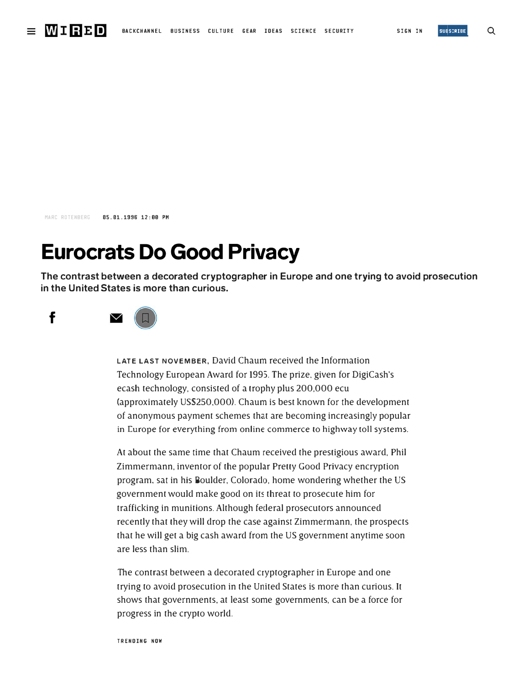

M�RC ROTENBERG 85.01.1996 12:00 PH

## **Eurocrats Do Good Privacy**

**The contrast between a decorated cryptographer in Europe and one trying to avoid prosecution in the United States is more than curious.** 



**LATE LAST NOVEMBER,** David Chaum received the Information Technology European Award for 1995. The prize, given for DigiCash's ecash technology, consisted of a trophy plus 200,000 ecu (approximately US\$250,000). Chaum is best known for the development of anonymous payment schemes that are becoming increasingly popular in Curope for everything from online commerce to highway toll systems.

At about the same time that Chaum received the prestigious award, Phil Zimmermann, inventor of the popular Pretty Good Privacy encryption program, sat in his Boulder, Colorado, home wondering whether the US government would make good on its threat to prosecute him for trafficking in munitions. Although federal prosecutors announced recently that they will drop the case against Zimmermann, the prospects that he will get a big cash award from the US government anytime soon are less than slim.

The contrast between a decorated cryptographer in Europe and one trying to avoid prosecution in the United States is more than curious. It shows that governments, at least some governments, can be a force for progress in the crypto world.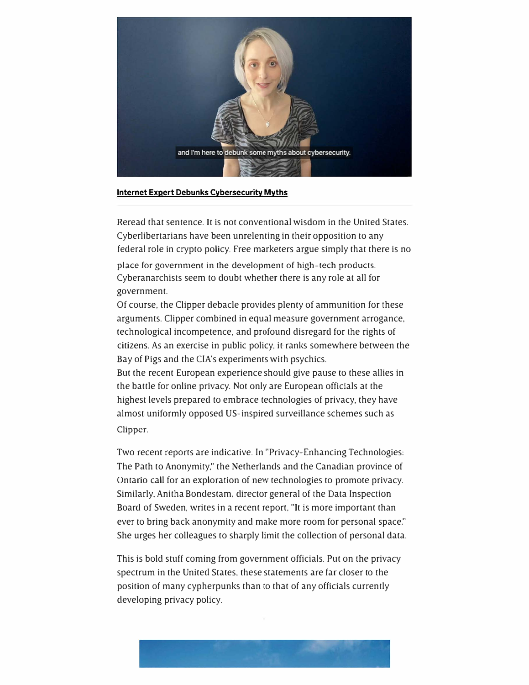

## **Internet Expert Debunks Cybersecurity Myths**

Reread that sentence. It is not conventional wisdom in the United States. Cyberlibertarians have been unrelenting in their opposition to any federal role in crypto policy. Free marketers argue simply that there is no

place for government in the development of high-tech products. Cyberanarchists seem to doubt whether there is any role at all for government.

Of course. the Clipper debacle provides plenty of ammunition for these arguments. Clipper combined in equal measure government arrogance. technological incompetence. and profound disregard for the rights of citizens. As an exercise in public policy, it ranks somewhere between the Bay of Pigs and the CIA's experiments with psychics.

But the recent European experience should give pause to these allies in the battle for online privacy. Not only are European officials at the highest levels prepared to embrace technologies of privacy, they have almost uniformly opposed US-inspired surveillance schemes such as Clipper.

Two recent reports are indicative. In "Privacy-Enhancing Technologies: The Path to Anonymity," the Netherlands and the Canadian province of Ontario call for an exploration of new technologies to promote privacy. Similarly, Anitha Bondestam. director general of the Data Inspection Board of Sweden, writes in a recent report. "It is more important than ever to bring back anonymity and make more room for personal space." She urges her colleagues to sharply limit the collection of personal data.

This is bold stuff coming from government officials. Put on the privacy spectrum in the United States. these statements are far closer to the position of many cypherpunks than co that of any officials currently developing privacy policy.

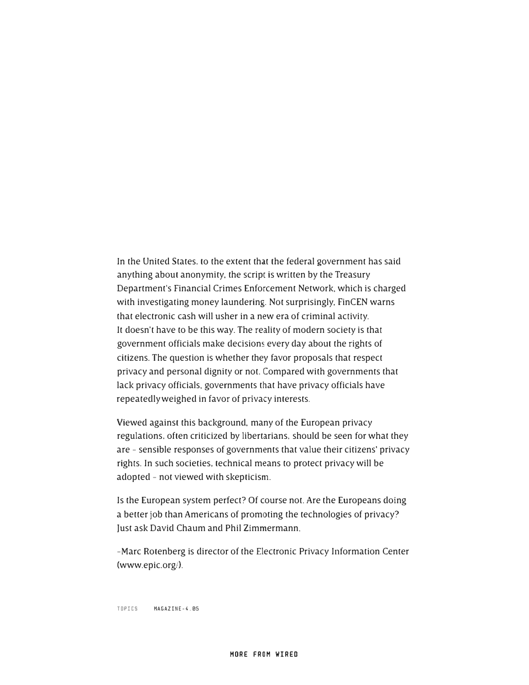In the United States. to the extent that the federal government has said anything about anonymity, the script is written by the Treasury Department's Financial Crimes Enforcement Network, which is charged with investigating money laundering. Not surprisingly, FinCEN warns that electronic cash will usher in a new era of criminal activity. It doesn't have to be this way. The reality of modern society is that government officials make decisions every day about the rights of citizens. The question is whether they favor proposals that respect privacy and personal dignity or not. Compared with governments that lack privacy officials, governments that have privacy officials have repeatedly weighed in favor of privacy interests.

Viewed against this background, many of the European privacy regulations, often criticized by libertarians, should be seen for what they are - sensible responses of governments that value their citizens' privacy rights. In such societies, technical means to protect privacy will be adopted - not viewed with skepticism.

Is the European system perfect? Of course not. Are the Europeans doing a better job than Americans of promoting the technologies of privacy? Just ask David Chaum and Phil Zimmermann.

-Marc Rotenberg is director of the Electronic Privacy Information Center (www.epic.org/).